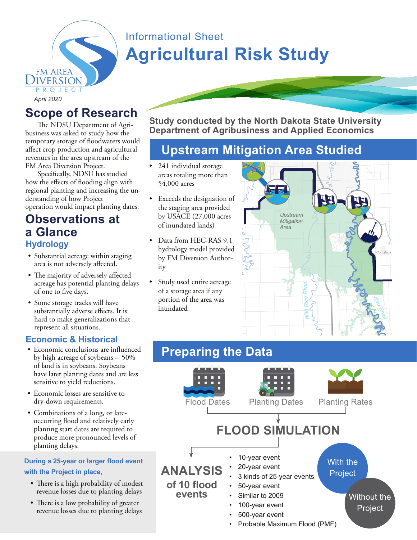

# Informational Sheet **Agricultural Risk Study**

**Scope of Research**

The NDSU Department of Agribusiness was asked to study how the temporary storage of floodwaters would affect crop production and agricultural revenues in the area upstream of the FM Area Diversion Project.

Specifically, NDSU has studied how the effects of flooding align with regional planting and increasing the understanding of how Project operation would impact planting dates.

### **Observations at a Glance Hydrology**

- Substantial acreage within staging area is not adversely affected.
- The majority of adversely affected acreage has potential planting delays of one to five days.
- Some storage tracks will have substantially adverse effects. It is hard to make generalizations that represent all situations.

#### **Economic & Historical**

- Economic conclusions are influenced by high acreage of soybeans -- 50% of land is in soybeans. Soybeans have later planting dates and are less sensitive to yield reductions.
- Economic losses are sensitive to dry-down requirements.
- Combinations of a long, or lateoccurring flood and relatively early planting start dates are required to produce more pronounced levels of planting delays.

#### **During a 25-year or larger flood event with the Project in place,**

- There is a high probability of modest revenue losses due to planting delays
- There is a low probability of greater revenue losses due to planting delays

**Study conducted by the North Dakota State University Department of Agribusiness and Applied Economics**

## **Upstream Mitigation Area Studied**

- 241 individual storage areas totaling more than 54,000 acres
- Exceeds the designation of the staging area provided by USACE (27,000 acres of inundated lands)
- Data from HEC-RAS 9.1 hydrology model provided by FM Diversion Authority
- Study used entire acreage of a storage area if any portion of the area was inundated



## **Preparing the Data**